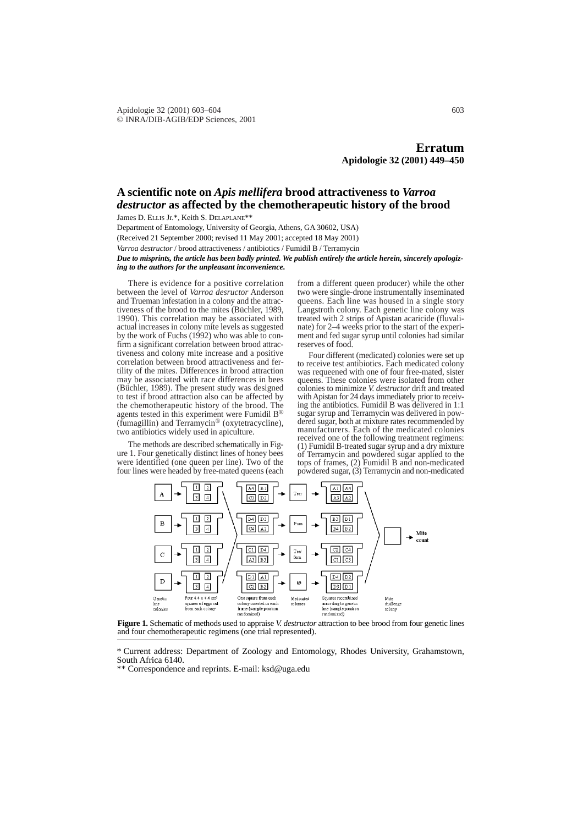**Erratum Apidologie 32 (2001) 449–450**

## **A scientific note on** *Apis mellifera* **brood attractiveness to** *Varroa destructor* **as affected by the chemotherapeutic history of the brood**

James D. ELLIS Jr.\*, Keith S. DELAPLANE\*\*

Department of Entomology, University of Georgia, Athens, GA 30602, USA)

(Received 21 September 2000; revised 11 May 2001; accepted 18 May 2001)

*Varroa destructor* / brood attractiveness / antibiotics / Fumidil B / Terramycin

*Due to misprints, the article has been badly printed. We publish entirely the article herein, sincerely apologizing to the authors for the unpleasant inconvenience.*

There is evidence for a positive correlation between the level of *Varroa desructor* Anderson and Trueman infestation in a colony and the attractiveness of the brood to the mites (Büchler, 1989, 1990). This correlation may be associated with actual increases in colony mite levels as suggested by the work of Fuchs (1992) who was able to confirm a significant correlation between brood attractiveness and colony mite increase and a positive correlation between brood attractiveness and fertility of the mites. Differences in brood attraction may be associated with race differences in bees (Büchler, 1989). The present study was designed to test if brood attraction also can be affected by the chemotherapeutic history of the brood. The agents tested in this experiment were Fumidil B® (fumagillin) and Terramycin® (oxytetracycline), two antibiotics widely used in apiculture.

The methods are described schematically in Figure 1. Four genetically distinct lines of honey bees were identified (one queen per line). Two of the four lines were headed by free-mated queens (each from a different queen producer) while the other two were single-drone instrumentally inseminated queens. Each line was housed in a single story Langstroth colony. Each genetic line colony was treated with 2 strips of Apistan acaricide (fluvalinate) for 2–4 weeks prior to the start of the experiment and fed sugar syrup until colonies had similar reserves of food.

Four different (medicated) colonies were set up to receive test antibiotics. Each medicated colony was requeened with one of four free-mated, sister queens. These colonies were isolated from other colonies to minimize *V. destructor* drift and treated with Apistan for 24 days immediately prior to receiving the antibiotics. Fumidil B was delivered in 1:1 sugar syrup and Terramycin was delivered in powdered sugar, both at mixture rates recommended by manufacturers. Each of the medicated colonies received one of the following treatment regimens: (1) Fumidil B-treated sugar syrup and a dry mixture of Terramycin and powdered sugar applied to the tops of frames, (2) Fumidil B and non-medicated powdered sugar, (3) Terramycin and non-medicated



**Figure 1.** Schematic of methods used to appraise *V. destructor* attraction to bee brood from four genetic lines and four chemotherapeutic regimens (one trial represented).

<sup>\*</sup> Current address: Department of Zoology and Entomology, Rhodes University, Grahamstown, South Africa 6140.

<sup>\*\*</sup> Correspondence and reprints. E-mail: ksd@uga.edu